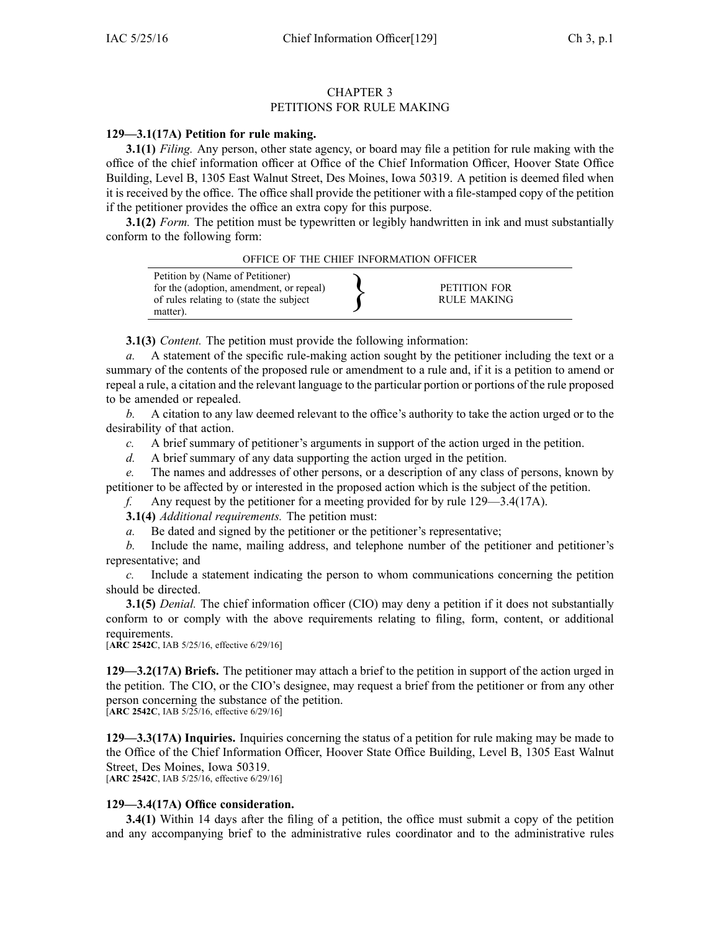## CHAPTER 3 PETITIONS FOR RULE MAKING

## **129—3.1(17A) Petition for rule making.**

**3.1(1)** *Filing.* Any person, other state agency, or board may file <sup>a</sup> petition for rule making with the office of the chief information officer at Office of the Chief Information Officer, Hoover State Office Building, Level B, 1305 East Walnut Street, Des Moines, Iowa 50319. A petition is deemed filed when it is received by the office. The office shall provide the petitioner with <sup>a</sup> file-stamped copy of the petition if the petitioner provides the office an extra copy for this purpose.

**3.1(2)** *Form.* The petition must be typewritten or legibly handwritten in ink and must substantially conform to the following form:



**3.1(3)** *Content.* The petition must provide the following information:

*a.* A statement of the specific rule-making action sought by the petitioner including the text or <sup>a</sup> summary of the contents of the proposed rule or amendment to <sup>a</sup> rule and, if it is <sup>a</sup> petition to amend or repeal <sup>a</sup> rule, <sup>a</sup> citation and the relevant language to the particular portion or portions of the rule proposed to be amended or repealed.

*b.* A citation to any law deemed relevant to the office's authority to take the action urged or to the desirability of that action.

*c.* A brief summary of petitioner's arguments in suppor<sup>t</sup> of the action urged in the petition.

*d.* A brief summary of any data supporting the action urged in the petition.

*e.* The names and addresses of other persons, or <sup>a</sup> description of any class of persons, known by petitioner to be affected by or interested in the proposed action which is the subject of the petition.

*f.* Any reques<sup>t</sup> by the petitioner for <sup>a</sup> meeting provided for by rule 129—3.4(17A).

**3.1(4)** *Additional requirements.* The petition must:

*a.* Be dated and signed by the petitioner or the petitioner's representative;

*b.* Include the name, mailing address, and telephone number of the petitioner and petitioner's representative; and

*c.* Include <sup>a</sup> statement indicating the person to whom communications concerning the petition should be directed.

**3.1(5)** *Denial.* The chief information officer (CIO) may deny a petition if it does not substantially conform to or comply with the above requirements relating to filing, form, content, or additional requirements.

[**ARC 2542C**, IAB 5/25/16, effective 6/29/16]

**129—3.2(17A) Briefs.** The petitioner may attach <sup>a</sup> brief to the petition in suppor<sup>t</sup> of the action urged in the petition. The CIO, or the CIO's designee, may reques<sup>t</sup> <sup>a</sup> brief from the petitioner or from any other person concerning the substance of the petition.

[**ARC 2542C**, IAB 5/25/16, effective 6/29/16]

**129—3.3(17A) Inquiries.** Inquiries concerning the status of <sup>a</sup> petition for rule making may be made to the Office of the Chief Information Officer, Hoover State Office Building, Level B, 1305 East Walnut Street, Des Moines, Iowa 50319. [**ARC 2542C**, IAB 5/25/16, effective 6/29/16]

## **129—3.4(17A) Office consideration.**

**3.4(1)** Within 14 days after the filing of a petition, the office must submit a copy of the petition and any accompanying brief to the administrative rules coordinator and to the administrative rules